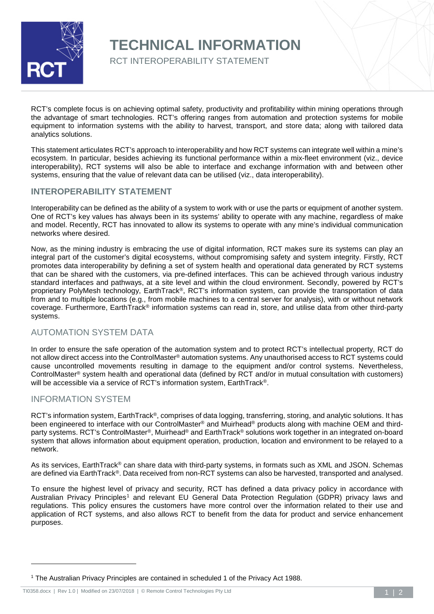

## **TECHNICAL INFORMATION**

RCT INTEROPERABILITY STATEMENT

RCT's complete focus is on achieving optimal safety, productivity and profitability within mining operations through the advantage of smart technologies. RCT's offering ranges from automation and protection systems for mobile equipment to information systems with the ability to harvest, transport, and store data; along with tailored data analytics solutions.

This statement articulates RCT's approach to interoperability and how RCT systems can integrate well within a mine's ecosystem. In particular, besides achieving its functional performance within a mix-fleet environment (viz., device interoperability), RCT systems will also be able to interface and exchange information with and between other systems, ensuring that the value of relevant data can be utilised (viz., data interoperability).

## **INTEROPERABILITY STATEMENT**

Interoperability can be defined as the ability of a system to work with or use the parts or equipment of another system. One of RCT's key values has always been in its systems' ability to operate with any machine, regardless of make and model. Recently, RCT has innovated to allow its systems to operate with any mine's individual communication networks where desired.

Now, as the mining industry is embracing the use of digital information, RCT makes sure its systems can play an integral part of the customer's digital ecosystems, without compromising safety and system integrity. Firstly, RCT promotes data interoperability by defining a set of system health and operational data generated by RCT systems that can be shared with the customers, via pre-defined interfaces. This can be achieved through various industry standard interfaces and pathways, at a site level and within the cloud environment. Secondly, powered by RCT's proprietary PolyMesh technology, EarthTrack®, RCT's information system, can provide the transportation of data from and to multiple locations (e.g., from mobile machines to a central server for analysis), with or without network coverage. Furthermore, EarthTrack® information systems can read in, store, and utilise data from other third-party systems.

## AUTOMATION SYSTEM DATA

In order to ensure the safe operation of the automation system and to protect RCT's intellectual property, RCT do not allow direct access into the ControlMaster® automation systems. Any unauthorised access to RCT systems could cause uncontrolled movements resulting in damage to the equipment and/or control systems. Nevertheless, ControlMaster® system health and operational data (defined by RCT and/or in mutual consultation with customers) will be accessible via a service of RCT's information system, EarthTrack<sup>®</sup>.

## INFORMATION SYSTEM

-

RCT's information system, EarthTrack®, comprises of data logging, transferring, storing, and analytic solutions. It has been engineered to interface with our ControlMaster® and Muirhead® products along with machine OEM and thirdparty systems. RCT's ControlMaster®, Muirhead® and EarthTrack® solutions work together in an integrated on-board system that allows information about equipment operation, production, location and environment to be relayed to a network.

As its services, EarthTrack® can share data with third-party systems, in formats such as XML and JSON. Schemas are defined via EarthTrack®. Data received from non-RCT systems can also be harvested, transported and analysed.

To ensure the highest level of privacy and security, RCT has defined a data privacy policy in accordance with Australian Privacy Principles<sup>[1](#page-0-0)</sup> and relevant EU General Data Protection Regulation (GDPR) privacy laws and regulations. This policy ensures the customers have more control over the information related to their use and application of RCT systems, and also allows RCT to benefit from the data for product and service enhancement purposes.

<span id="page-0-0"></span><sup>1</sup> The Australian Privacy Principles are contained in scheduled 1 of the Privacy Act 1988.